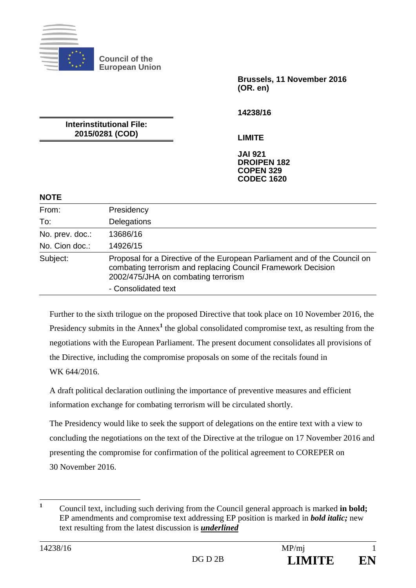

**Council of the European Union** 

> **Brussels, 11 November 2016 (OR. en)**

**14238/16** 

**Interinstitutional File: 2015/0281 (COD)** 

**LIMITE** 

**JAI 921 DROIPEN 182 COPEN 329 CODEC 1620**

#### **NOTE**

| From:           | Presidency                                                                                                                                                                       |
|-----------------|----------------------------------------------------------------------------------------------------------------------------------------------------------------------------------|
| To:             | Delegations                                                                                                                                                                      |
| No. prev. doc.: | 13686/16                                                                                                                                                                         |
| No. Cion doc.:  | 14926/15                                                                                                                                                                         |
| Subject:        | Proposal for a Directive of the European Parliament and of the Council on<br>combating terrorism and replacing Council Framework Decision<br>2002/475/JHA on combating terrorism |
|                 | - Consolidated text                                                                                                                                                              |

Further to the sixth trilogue on the proposed Directive that took place on 10 November 2016, the Presidency submits in the Annex<sup>1</sup> the global consolidated compromise text, as resulting from the negotiations with the European Parliament. The present document consolidates all provisions of the Directive, including the compromise proposals on some of the recitals found in WK 644/2016

A draft political declaration outlining the importance of preventive measures and efficient information exchange for combating terrorism will be circulated shortly.

The Presidency would like to seek the support of delegations on the entire text with a view to concluding the negotiations on the text of the Directive at the trilogue on 17 November 2016 and presenting the compromise for confirmation of the political agreement to COREPER on 30 November 2016.

 **1** Council text, including such deriving from the Council general approach is marked **in bold;**  EP amendments and compromise text addressing EP position is marked in *bold italic;* new text resulting from the latest discussion is *underlined*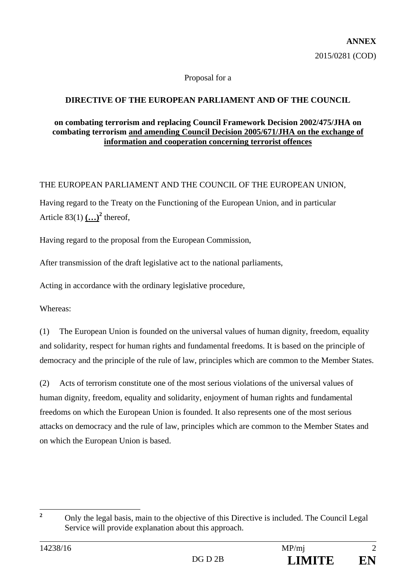#### Proposal for a

## **DIRECTIVE OF THE EUROPEAN PARLIAMENT AND OF THE COUNCIL**

#### **on combating terrorism and replacing Council Framework Decision 2002/475/JHA on combating terrorism and amending Council Decision 2005/671/JHA on the exchange of information and cooperation concerning terrorist offences**

### THE EUROPEAN PARLIAMENT AND THE COUNCIL OF THE EUROPEAN UNION,

Having regard to the Treaty on the Functioning of the European Union, and in particular Article  $83(1)$   $($ ...)<sup>2</sup> thereof,

Having regard to the proposal from the European Commission,

After transmission of the draft legislative act to the national parliaments,

Acting in accordance with the ordinary legislative procedure,

Whereas:

(1) The European Union is founded on the universal values of human dignity, freedom, equality and solidarity, respect for human rights and fundamental freedoms. It is based on the principle of democracy and the principle of the rule of law, principles which are common to the Member States.

(2) Acts of terrorism constitute one of the most serious violations of the universal values of human dignity, freedom, equality and solidarity, enjoyment of human rights and fundamental freedoms on which the European Union is founded. It also represents one of the most serious attacks on democracy and the rule of law, principles which are common to the Member States and on which the European Union is based.

 **2** Only the legal basis, main to the objective of this Directive is included. The Council Legal Service will provide explanation about this approach.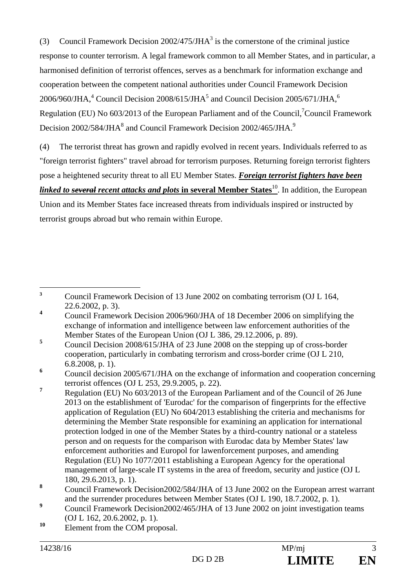(3) Council Framework Decision  $2002/475/JHA^3$  is the cornerstone of the criminal justice response to counter terrorism. A legal framework common to all Member States, and in particular, a harmonised definition of terrorist offences, serves as a benchmark for information exchange and cooperation between the competent national authorities under Council Framework Decision 2006/960/JHA,<sup>4</sup> Council Decision 2008/615/JHA<sup>5</sup> and Council Decision 2005/671/JHA,<sup>6</sup> Regulation (EU) No 603/2013 of the European Parliament and of the Council,<sup>7</sup>Council Framework Decision 2002/584/JHA $^{8}$  and Council Framework Decision 2002/465/JHA. $^{9}$ 

(4) The terrorist threat has grown and rapidly evolved in recent years. Individuals referred to as "foreign terrorist fighters" travel abroad for terrorism purposes. Returning foreign terrorist fighters pose a heightened security threat to all EU Member States. *Foreign terrorist fighters have been linked to several recent attacks and plots* in several Member States<sup>10</sup>. In addition, the European

Union and its Member States face increased threats from individuals inspired or instructed by terrorist groups abroad but who remain within Europe.

 $\overline{\mathbf{3}}$ **<sup>3</sup>** Council Framework Decision of 13 June 2002 on combating terrorism (OJ L 164, 22.6.2002, p. 3).

**<sup>4</sup>** Council Framework Decision 2006/960/JHA of 18 December 2006 on simplifying the exchange of information and intelligence between law enforcement authorities of the Member States of the European Union (OJ L 386, 29.12.2006, p. 89).

**<sup>5</sup>** Council Decision 2008/615/JHA of 23 June 2008 on the stepping up of cross-border cooperation, particularly in combating terrorism and cross-border crime (OJ L 210, 6.8.2008, p. 1).

**<sup>6</sup>** Council decision 2005/671/JHA on the exchange of information and cooperation concerning terrorist offences (OJ L 253, 29.9.2005, p. 22).

**<sup>7</sup>** Regulation (EU) No 603/2013 of the European Parliament and of the Council of 26 June 2013 on the establishment of 'Eurodac' for the comparison of fingerprints for the effective application of Regulation (EU) No 604/2013 establishing the criteria and mechanisms for determining the Member State responsible for examining an application for international protection lodged in one of the Member States by a third-country national or a stateless person and on requests for the comparison with Eurodac data by Member States' law enforcement authorities and Europol for lawenforcement purposes, and amending Regulation (EU) No 1077/2011 establishing a European Agency for the operational management of large-scale IT systems in the area of freedom, security and justice (OJ L 180, 29.6.2013, p. 1).

**<sup>8</sup>** Council Framework Decision2002/584/JHA of 13 June 2002 on the European arrest warrant and the surrender procedures between Member States (OJ L 190, 18.7.2002, p. 1).

**<sup>9</sup>** Council Framework Decision2002/465/JHA of 13 June 2002 on joint investigation teams (OJ L 162, 20.6.2002, p. 1).

<sup>&</sup>lt;sup>10</sup> Element from the COM proposal.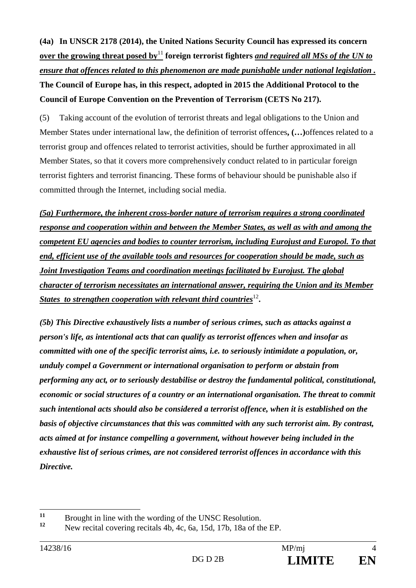**(4a) In UNSCR 2178 (2014), the United Nations Security Council has expressed its concern over the growing threat posed by**<sup>11</sup> **foreign terrorist fighters** *and required all MSs of the UN to ensure that offences related to this phenomenon are made punishable under national legislation .*  **The Council of Europe has, in this respect, adopted in 2015 the Additional Protocol to the Council of Europe Convention on the Prevention of Terrorism (CETS No 217).** 

(5) Taking account of the evolution of terrorist threats and legal obligations to the Union and Member States under international law, the definition of terrorist offences**, (…)**offences related to a terrorist group and offences related to terrorist activities, should be further approximated in all Member States, so that it covers more comprehensively conduct related to in particular foreign terrorist fighters and terrorist financing. These forms of behaviour should be punishable also if committed through the Internet, including social media.

*(5a) Furthermore, the inherent cross-border nature of terrorism requires a strong coordinated response and cooperation within and between the Member States, as well as with and among the competent EU agencies and bodies to counter terrorism, including Eurojust and Europol. To that end, efficient use of the available tools and resources for cooperation should be made, such as Joint Investigation Teams and coordination meetings facilitated by Eurojust. The global character of terrorism necessitates an international answer, requiring the Union and its Member States to strengthen cooperation with relevant third countries*<sup>12</sup>.

*(5b) This Directive exhaustively lists a number of serious crimes, such as attacks against a person's life, as intentional acts that can qualify as terrorist offences when and insofar as committed with one of the specific terrorist aims, i.e. to seriously intimidate a population, or, unduly compel a Government or international organisation to perform or abstain from performing any act, or to seriously destabilise or destroy the fundamental political, constitutional, economic or social structures of a country or an international organisation. The threat to commit such intentional acts should also be considered a terrorist offence, when it is established on the basis of objective circumstances that this was committed with any such terrorist aim. By contrast, acts aimed at for instance compelling a government, without however being included in the exhaustive list of serious crimes, are not considered terrorist offences in accordance with this Directive.*

 $11$ <sup>11</sup> Brought in line with the wording of the UNSC Resolution.

**<sup>12</sup>** New recital covering recitals 4b, 4c, 6a, 15d, 17b, 18a of the EP.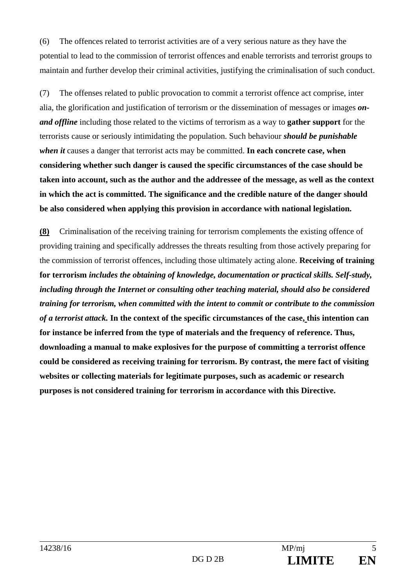(6) The offences related to terrorist activities are of a very serious nature as they have the potential to lead to the commission of terrorist offences and enable terrorists and terrorist groups to maintain and further develop their criminal activities, justifying the criminalisation of such conduct.

(7) The offenses related to public provocation to commit a terrorist offence act comprise, inter alia, the glorification and justification of terrorism or the dissemination of messages or images *onand offline* including those related to the victims of terrorism as a way to **gather support** for the terrorists cause or seriously intimidating the population. Such behaviour *should be punishable when it* causes a danger that terrorist acts may be committed. **In each concrete case, when considering whether such danger is caused the specific circumstances of the case should be taken into account, such as the author and the addressee of the message, as well as the context in which the act is committed. The significance and the credible nature of the danger should be also considered when applying this provision in accordance with national legislation.** 

**(8)** Criminalisation of the receiving training for terrorism complements the existing offence of providing training and specifically addresses the threats resulting from those actively preparing for the commission of terrorist offences, including those ultimately acting alone. **Receiving of training for terrorism** *includes the obtaining of knowledge, documentation or practical skills. Self-study, including through the Internet or consulting other teaching material, should also be considered training for terrorism, when committed with the intent to commit or contribute to the commission of a terrorist attack.* **In the context of the specific circumstances of the case, this intention can for instance be inferred from the type of materials and the frequency of reference. Thus, downloading a manual to make explosives for the purpose of committing a terrorist offence could be considered as receiving training for terrorism. By contrast, the mere fact of visiting websites or collecting materials for legitimate purposes, such as academic or research purposes is not considered training for terrorism in accordance with this Directive.**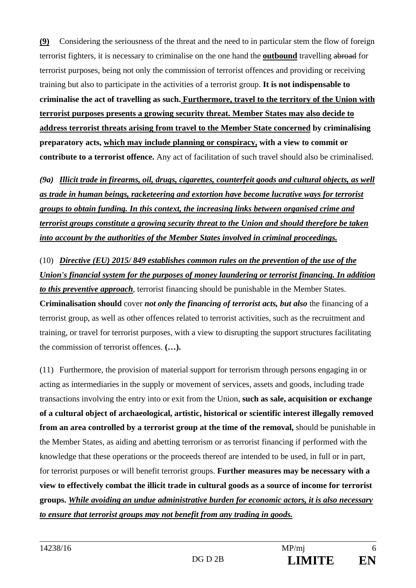**(9)** Considering the seriousness of the threat and the need to in particular stem the flow of foreign terrorist fighters, it is necessary to criminalise on the one hand the **outbound** travelling abroad for terrorist purposes, being not only the commission of terrorist offences and providing or receiving training but also to participate in the activities of a terrorist group. **It is not indispensable to criminalise the act of travelling as such. Furthermore, travel to the territory of the Union with terrorist purposes presents a growing security threat. Member States may also decide to address terrorist threats arising from travel to the Member State concerned by criminalising preparatory acts, which may include planning or conspiracy, with a view to commit or contribute to a terrorist offence.** Any act of facilitation of such travel should also be criminalised.

*(9a) Illicit trade in firearms, oil, drugs, cigarettes, counterfeit goods and cultural objects, as well as trade in human beings, racketeering and extortion have become lucrative ways for terrorist groups to obtain funding. In this context, the increasing links between organised crime and terrorist groups constitute a growing security threat to the Union and should therefore be taken into account by the authorities of the Member States involved in criminal proceedings.* 

(10) *Directive (EU) 2015/ 849 establishes common rules on the prevention of the use of the Union's financial system for the purposes of money laundering or terrorist financing. In addition to this preventive approach*, terrorist financing should be punishable in the Member States. **Criminalisation should** cover *not only the financing of terrorist acts, but also* the financing of a terrorist group, as well as other offences related to terrorist activities, such as the recruitment and training, or travel for terrorist purposes, with a view to disrupting the support structures facilitating the commission of terrorist offences. **(…).** 

(11) Furthermore, the provision of material support for terrorism through persons engaging in or acting as intermediaries in the supply or movement of services, assets and goods, including trade transactions involving the entry into or exit from the Union, **such as sale, acquisition or exchange of a cultural object of archaeological, artistic, historical or scientific interest illegally removed from an area controlled by a terrorist group at the time of the removal,** should be punishable in the Member States, as aiding and abetting terrorism or as terrorist financing if performed with the knowledge that these operations or the proceeds thereof are intended to be used, in full or in part, for terrorist purposes or will benefit terrorist groups. **Further measures may be necessary with a view to effectively combat the illicit trade in cultural goods as a source of income for terrorist groups.** *While avoiding an undue administrative burden for economic actors, it is also necessary to ensure that terrorist groups may not benefit from any trading in goods.*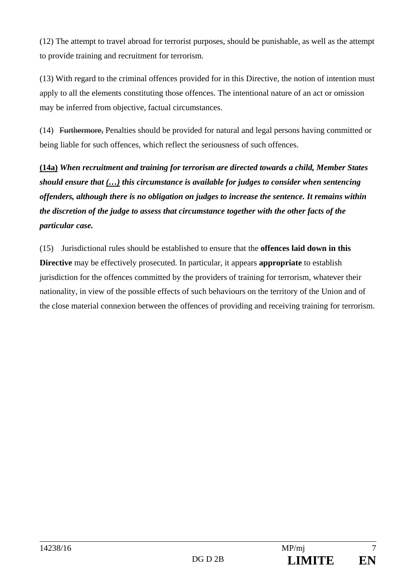(12) The attempt to travel abroad for terrorist purposes, should be punishable, as well as the attempt to provide training and recruitment for terrorism.

(13) With regard to the criminal offences provided for in this Directive, the notion of intention must apply to all the elements constituting those offences. The intentional nature of an act or omission may be inferred from objective, factual circumstances.

(14) Furthermore, Penalties should be provided for natural and legal persons having committed or being liable for such offences, which reflect the seriousness of such offences.

**(14a)** *When recruitment and training for terrorism are directed towards a child, Member States should ensure that (…) this circumstance is available for judges to consider when sentencing offenders, although there is no obligation on judges to increase the sentence. It remains within the discretion of the judge to assess that circumstance together with the other facts of the particular case.*

(15) Jurisdictional rules should be established to ensure that the **offences laid down in this Directive** may be effectively prosecuted. In particular, it appears **appropriate** to establish jurisdiction for the offences committed by the providers of training for terrorism, whatever their nationality, in view of the possible effects of such behaviours on the territory of the Union and of the close material connexion between the offences of providing and receiving training for terrorism.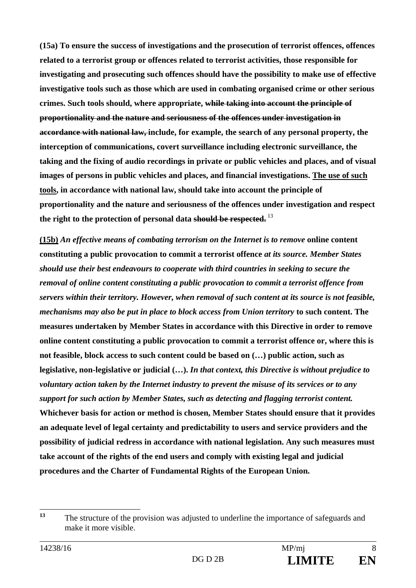**(15a) To ensure the success of investigations and the prosecution of terrorist offences, offences related to a terrorist group or offences related to terrorist activities, those responsible for investigating and prosecuting such offences should have the possibility to make use of effective investigative tools such as those which are used in combating organised crime or other serious crimes. Such tools should, where appropriate, while taking into account the principle of proportionality and the nature and seriousness of the offences under investigation in accordance with national law, include, for example, the search of any personal property, the interception of communications, covert surveillance including electronic surveillance, the taking and the fixing of audio recordings in private or public vehicles and places, and of visual images of persons in public vehicles and places, and financial investigations. The use of such tools, in accordance with national law, should take into account the principle of proportionality and the nature and seriousness of the offences under investigation and respect the right to the protection of personal data should be respected.**<sup>13</sup>

**(15b)** *An effective means of combating terrorism on the Internet is to remove* **online content constituting a public provocation to commit a terrorist offence** *at its source. Member States should use their best endeavours to cooperate with third countries in seeking to secure the removal of online content constituting a public provocation to commit a terrorist offence from servers within their territory. However, when removal of such content at its source is not feasible, mechanisms may also be put in place to block access from Union territory* **to such content. The measures undertaken by Member States in accordance with this Directive in order to remove online content constituting a public provocation to commit a terrorist offence or, where this is not feasible, block access to such content could be based on (…) public action, such as legislative, non-legislative or judicial (…).** *In that context, this Directive is without prejudice to voluntary action taken by the Internet industry to prevent the misuse of its services or to any support for such action by Member States, such as detecting and flagging terrorist content.*  **Whichever basis for action or method is chosen, Member States should ensure that it provides an adequate level of legal certainty and predictability to users and service providers and the possibility of judicial redress in accordance with national legislation. Any such measures must take account of the rights of the end users and comply with existing legal and judicial procedures and the Charter of Fundamental Rights of the European Union.**

 $13$ **<sup>13</sup>** The structure of the provision was adjusted to underline the importance of safeguards and make it more visible.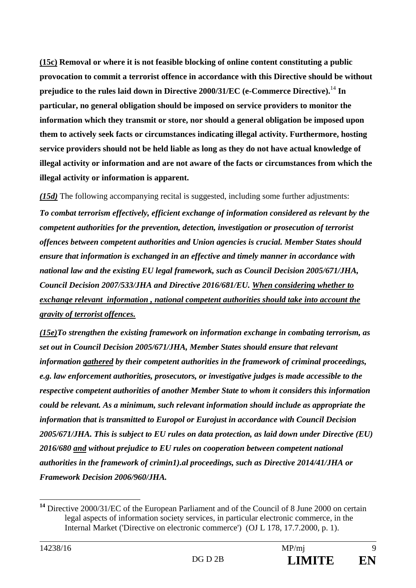**(15c) Removal or where it is not feasible blocking of online content constituting a public provocation to commit a terrorist offence in accordance with this Directive should be without prejudice to the rules laid down in Directive 2000/31/EC (e-Commerce Directive).**<sup>14</sup> **In particular, no general obligation should be imposed on service providers to monitor the information which they transmit or store, nor should a general obligation be imposed upon them to actively seek facts or circumstances indicating illegal activity. Furthermore, hosting service providers should not be held liable as long as they do not have actual knowledge of illegal activity or information and are not aware of the facts or circumstances from which the illegal activity or information is apparent.** 

*(15d)* The following accompanying recital is suggested, including some further adjustments: *To combat terrorism effectively, efficient exchange of information considered as relevant by the competent authorities for the prevention, detection, investigation or prosecution of terrorist offences between competent authorities and Union agencies is crucial. Member States should ensure that information is exchanged in an effective and timely manner in accordance with national law and the existing EU legal framework, such as Council Decision 2005/671/JHA, Council Decision 2007/533/JHA and Directive 2016/681/EU. When considering whether to exchange relevant information , national competent authorities should take into account the gravity of terrorist offences.* 

*(15e)To strengthen the existing framework on information exchange in combating terrorism, as set out in Council Decision 2005/671/JHA, Member States should ensure that relevant information gathered by their competent authorities in the framework of criminal proceedings, e.g. law enforcement authorities, prosecutors, or investigative judges is made accessible to the respective competent authorities of another Member State to whom it considers this information could be relevant. As a minimum, such relevant information should include as appropriate the information that is transmitted to Europol or Eurojust in accordance with Council Decision 2005/671/JHA. This is subject to EU rules on data protection, as laid down under Directive (EU) 2016/680 and without prejudice to EU rules on cooperation between competent national authorities in the framework of crimin1).al proceedings, such as Directive 2014/41/JHA or Framework Decision 2006/960/JHA.*

 $\overline{a}$ 

**<sup>14</sup>** Directive 2000/31/EC of the European Parliament and of the Council of 8 June 2000 on certain legal aspects of information society services, in particular electronic commerce, in the Internal Market ('Directive on electronic commerce') (OJ L 178, 17.7.2000, p. 1).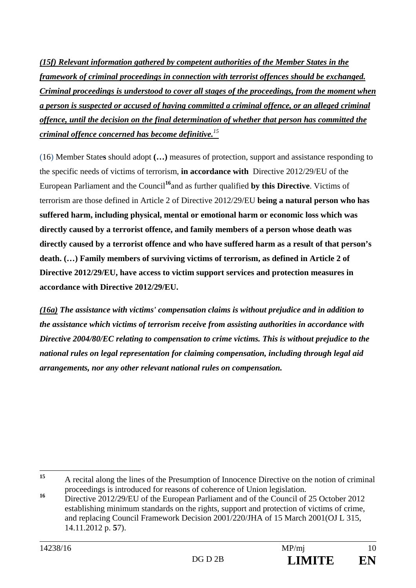*(15f) Relevant information gathered by competent authorities of the Member States in the framework of criminal proceedings in connection with terrorist offences should be exchanged. Criminal proceedings is understood to cover all stages of the proceedings, from the moment when a person is suspected or accused of having committed a criminal offence, or an alleged criminal offence, until the decision on the final determination of whether that person has committed the criminal offence concerned has become definitive.<sup>15</sup>*

(16) Member State**s** should adopt **(…)** measures of protection, support and assistance responding to the specific needs of victims of terrorism, **in accordance with** Directive 2012/29/EU of the European Parliament and the Council**<sup>16</sup>**and as further qualified **by this Directive**. Victims of terrorism are those defined in Article 2 of Directive 2012/29/EU **being a natural person who has suffered harm, including physical, mental or emotional harm or economic loss which was directly caused by a terrorist offence, and family members of a person whose death was directly caused by a terrorist offence and who have suffered harm as a result of that person's death. (…) Family members of surviving victims of terrorism, as defined in Article 2 of Directive 2012/29/EU, have access to victim support services and protection measures in accordance with Directive 2012/29/EU.** 

*(16a) The assistance with victims' compensation claims is without prejudice and in addition to the assistance which victims of terrorism receive from assisting authorities in accordance with Directive 2004/80/EC relating to compensation to crime victims. This is without prejudice to the national rules on legal representation for claiming compensation, including through legal aid arrangements, nor any other relevant national rules on compensation.*

<sup>15</sup> **<sup>15</sup>** A recital along the lines of the Presumption of Innocence Directive on the notion of criminal proceedings is introduced for reasons of coherence of Union legislation.

<sup>&</sup>lt;sup>16</sup> Directive 2012/29/EU of the European Parliament and of the Council of 25 October 2012 establishing minimum standards on the rights, support and protection of victims of crime, and replacing Council Framework Decision 2001/220/JHA of 15 March 2001(OJ L 315, 14.11.2012 p. **5**7).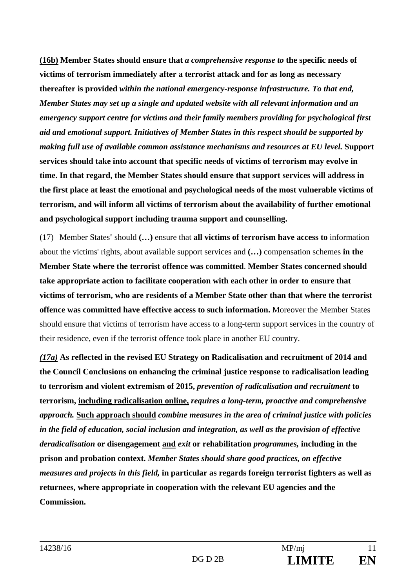**(16b) Member States should ensure that** *a comprehensive response to* **the specific needs of victims of terrorism immediately after a terrorist attack and for as long as necessary thereafter is provided** *within the national emergency-response infrastructure. To that end, Member States may set up a single and updated website with all relevant information and an emergency support centre for victims and their family members providing for psychological first aid and emotional support. Initiatives of Member States in this respect should be supported by making full use of available common assistance mechanisms and resources at EU level.* **Support services should take into account that specific needs of victims of terrorism may evolve in time. In that regard, the Member States should ensure that support services will address in the first place at least the emotional and psychological needs of the most vulnerable victims of terrorism, and will inform all victims of terrorism about the availability of further emotional and psychological support including trauma support and counselling.** 

(17) Member States**'** should **(…)** ensure that **all victims of terrorism have access to** information about the victims' rights, about available support services and **(…)** compensation schemes **in the Member State where the terrorist offence was committed**. **Member States concerned should take appropriate action to facilitate cooperation with each other in order to ensure that victims of terrorism, who are residents of a Member State other than that where the terrorist offence was committed have effective access to such information.** Moreover the Member States should ensure that victims of terrorism have access to a long-term support services in the country of their residence, even if the terrorist offence took place in another EU country.

*(17a)* **As reflected in the revised EU Strategy on Radicalisation and recruitment of 2014 and the Council Conclusions on enhancing the criminal justice response to radicalisation leading to terrorism and violent extremism of 2015,** *prevention of radicalisation and recruitment* **to terrorism, including radicalisation online,** *requires a long-term, proactive and comprehensive approach.* **Such approach should** *combine measures in the area of criminal justice with policies in the field of education, social inclusion and integration, as well as the provision of effective deradicalisation* **or disengagement and** *exit* **or rehabilitation** *programmes,* **including in the prison and probation context.** *Member States should share good practices, on effective measures and projects in this field,* **in particular as regards foreign terrorist fighters as well as returnees, where appropriate in cooperation with the relevant EU agencies and the Commission.**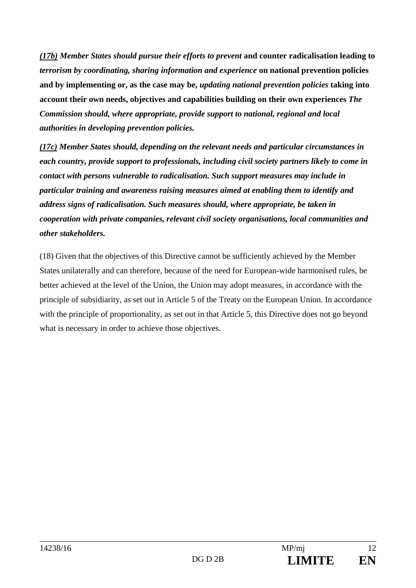*(17b) Member States should pursue their efforts to prevent* **and counter radicalisation leading to** *terrorism by coordinating, sharing information and experience* **on national prevention policies and by implementing or, as the case may be,** *updating national prevention policies* **taking into account their own needs, objectives and capabilities building on their own experiences** *The Commission should, where appropriate, provide support to national, regional and local authorities in developing prevention policies.* 

*(17c) Member States should, depending on the relevant needs and particular circumstances in each country, provide support to professionals, including civil society partners likely to come in contact with persons vulnerable to radicalisation. Such support measures may include in particular training and awareness raising measures aimed at enabling them to identify and address signs of radicalisation. Such measures should, where appropriate, be taken in cooperation with private companies, relevant civil society organisations, local communities and other stakeholders.*

(18) Given that the objectives of this Directive cannot be sufficiently achieved by the Member States unilaterally and can therefore, because of the need for European-wide harmonised rules, be better achieved at the level of the Union, the Union may adopt measures, in accordance with the principle of subsidiarity, as set out in Article 5 of the Treaty on the European Union. In accordance with the principle of proportionality, as set out in that Article 5, this Directive does not go beyond what is necessary in order to achieve those objectives.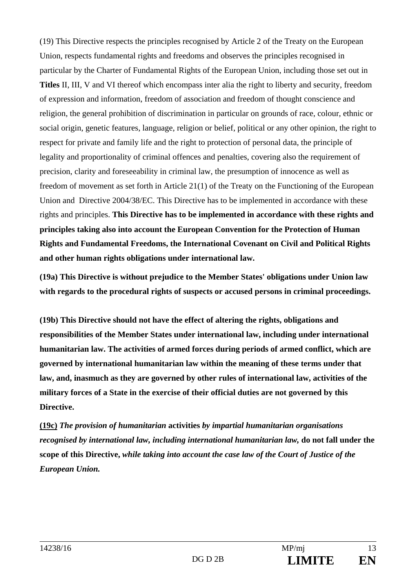(19) This Directive respects the principles recognised by Article 2 of the Treaty on the European Union, respects fundamental rights and freedoms and observes the principles recognised in particular by the Charter of Fundamental Rights of the European Union, including those set out in **Titles** II, III, V and VI thereof which encompass inter alia the right to liberty and security, freedom of expression and information, freedom of association and freedom of thought conscience and religion, the general prohibition of discrimination in particular on grounds of race, colour, ethnic or social origin, genetic features, language, religion or belief, political or any other opinion, the right to respect for private and family life and the right to protection of personal data, the principle of legality and proportionality of criminal offences and penalties, covering also the requirement of precision, clarity and foreseeability in criminal law, the presumption of innocence as well as freedom of movement as set forth in Article 21(1) of the Treaty on the Functioning of the European Union and Directive 2004/38/EC. This Directive has to be implemented in accordance with these rights and principles. **This Directive has to be implemented in accordance with these rights and principles taking also into account the European Convention for the Protection of Human Rights and Fundamental Freedoms, the International Covenant on Civil and Political Rights and other human rights obligations under international law.**

**(19a) This Directive is without prejudice to the Member States' obligations under Union law with regards to the procedural rights of suspects or accused persons in criminal proceedings.** 

**(19b) This Directive should not have the effect of altering the rights, obligations and responsibilities of the Member States under international law, including under international humanitarian law. The activities of armed forces during periods of armed conflict, which are governed by international humanitarian law within the meaning of these terms under that law, and, inasmuch as they are governed by other rules of international law, activities of the military forces of a State in the exercise of their official duties are not governed by this Directive.** 

**(19c)** *The provision of humanitarian* **activities** *by impartial humanitarian organisations recognised by international law, including international humanitarian law,* **do not fall under the scope of this Directive,** *while taking into account the case law of the Court of Justice of the European Union.*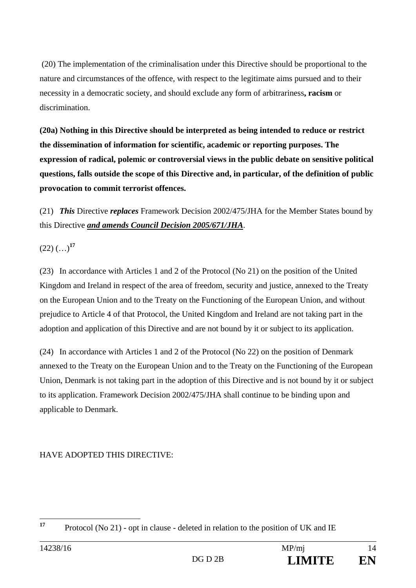(20) The implementation of the criminalisation under this Directive should be proportional to the nature and circumstances of the offence, with respect to the legitimate aims pursued and to their necessity in a democratic society, and should exclude any form of arbitrariness**, racism** or discrimination.

**(20a) Nothing in this Directive should be interpreted as being intended to reduce or restrict the dissemination of information for scientific, academic or reporting purposes. The expression of radical, polemic or controversial views in the public debate on sensitive political questions, falls outside the scope of this Directive and, in particular, of the definition of public provocation to commit terrorist offences.** 

(21) *This* Directive *replaces* Framework Decision 2002/475/JHA for the Member States bound by this Directive *and amends Council Decision 2005/671/JHA*.

 $(22)$  (...)<sup>17</sup>

(23) In accordance with Articles 1 and 2 of the Protocol (No 21) on the position of the United Kingdom and Ireland in respect of the area of freedom, security and justice, annexed to the Treaty on the European Union and to the Treaty on the Functioning of the European Union, and without prejudice to Article 4 of that Protocol, the United Kingdom and Ireland are not taking part in the adoption and application of this Directive and are not bound by it or subject to its application.

(24) In accordance with Articles 1 and 2 of the Protocol (No 22) on the position of Denmark annexed to the Treaty on the European Union and to the Treaty on the Functioning of the European Union, Denmark is not taking part in the adoption of this Directive and is not bound by it or subject to its application. Framework Decision 2002/475/JHA shall continue to be binding upon and applicable to Denmark.

HAVE ADOPTED THIS DIRECTIVE:

 $17$ Protocol (No 21) - opt in clause - deleted in relation to the position of UK and IE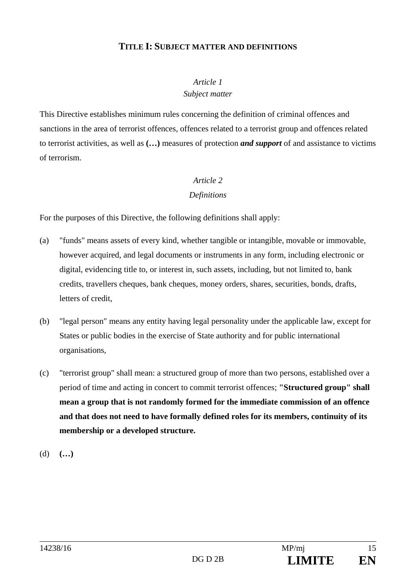## **TITLE I: SUBJECT MATTER AND DEFINITIONS**

## *Article 1 Subject matter*

This Directive establishes minimum rules concerning the definition of criminal offences and sanctions in the area of terrorist offences, offences related to a terrorist group and offences related to terrorist activities, as well as **(…)** measures of protection *and support* of and assistance to victims of terrorism.

## *Article 2*

### *Definitions*

For the purposes of this Directive, the following definitions shall apply:

- (a) "funds" means assets of every kind, whether tangible or intangible, movable or immovable, however acquired, and legal documents or instruments in any form, including electronic or digital, evidencing title to, or interest in, such assets, including, but not limited to, bank credits, travellers cheques, bank cheques, money orders, shares, securities, bonds, drafts, letters of credit,
- (b) "legal person" means any entity having legal personality under the applicable law, except for States or public bodies in the exercise of State authority and for public international organisations,
- (c) "terrorist group" shall mean: a structured group of more than two persons, established over a period of time and acting in concert to commit terrorist offences; **"Structured group" shall mean a group that is not randomly formed for the immediate commission of an offence and that does not need to have formally defined roles for its members, continuity of its membership or a developed structure.**

(d) **(…)**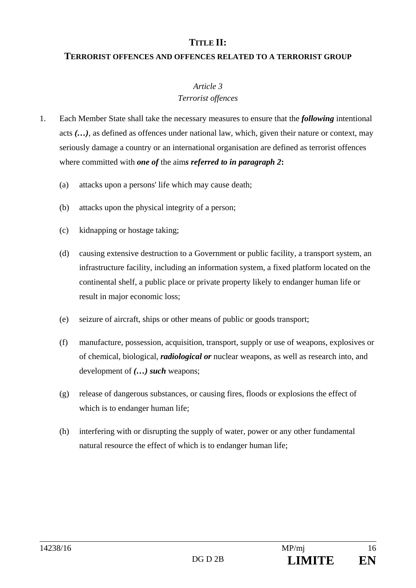## **TITLE II:**

#### **TERRORIST OFFENCES AND OFFENCES RELATED TO A TERRORIST GROUP**

#### *Article 3*

### *Terrorist offences*

- 1. Each Member State shall take the necessary measures to ensure that the *following* intentional acts *(…)*, as defined as offences under national law, which, given their nature or context, may seriously damage a country or an international organisation are defined as terrorist offences where committed with *one of* the aim*s referred to in paragraph 2***:**
	- (a) attacks upon a persons' life which may cause death;
	- (b) attacks upon the physical integrity of a person;
	- (c) kidnapping or hostage taking;
	- (d) causing extensive destruction to a Government or public facility, a transport system, an infrastructure facility, including an information system, a fixed platform located on the continental shelf, a public place or private property likely to endanger human life or result in major economic loss;
	- (e) seizure of aircraft, ships or other means of public or goods transport;
	- (f) manufacture, possession, acquisition, transport, supply or use of weapons, explosives or of chemical, biological, *radiological or* nuclear weapons, as well as research into, and development of *(…) such* weapons;
	- (g) release of dangerous substances, or causing fires, floods or explosions the effect of which is to endanger human life;
	- (h) interfering with or disrupting the supply of water, power or any other fundamental natural resource the effect of which is to endanger human life;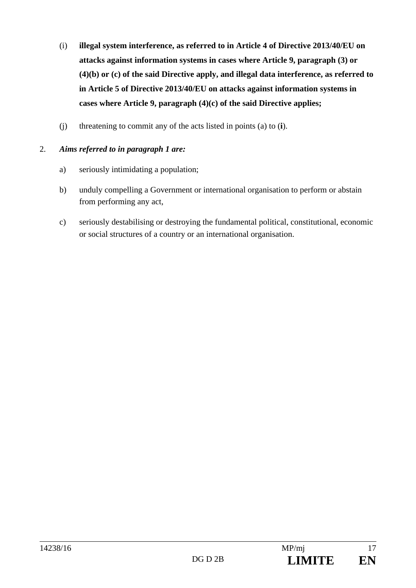- (i) **illegal system interference, as referred to in Article 4 of Directive 2013/40/EU on attacks against information systems in cases where Article 9, paragraph (3) or (4)(b) or (c) of the said Directive apply, and illegal data interference, as referred to in Article 5 of Directive 2013/40/EU on attacks against information systems in cases where Article 9, paragraph (4)(c) of the said Directive applies;**
- (j) threatening to commit any of the acts listed in points (a) to (**i**).

## 2. *Aims referred to in paragraph 1 are:*

- a) seriously intimidating a population;
- b) unduly compelling a Government or international organisation to perform or abstain from performing any act,
- c) seriously destabilising or destroying the fundamental political, constitutional, economic or social structures of a country or an international organisation.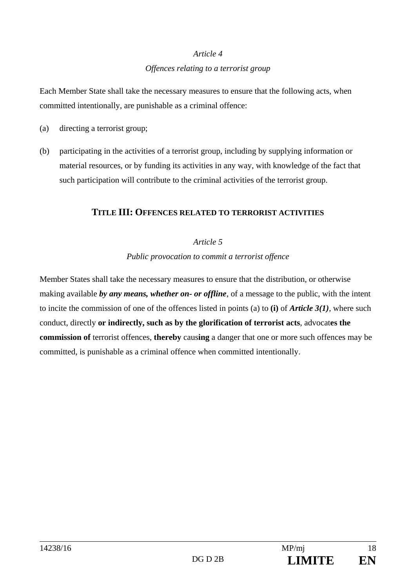#### *Article 4*

#### *Offences relating to a terrorist group*

Each Member State shall take the necessary measures to ensure that the following acts, when committed intentionally, are punishable as a criminal offence:

- (a) directing a terrorist group;
- (b) participating in the activities of a terrorist group, including by supplying information or material resources, or by funding its activities in any way, with knowledge of the fact that such participation will contribute to the criminal activities of the terrorist group.

#### **TITLE III: OFFENCES RELATED TO TERRORIST ACTIVITIES**

#### *Article 5*

*Public provocation to commit a terrorist offence* 

Member States shall take the necessary measures to ensure that the distribution, or otherwise making available *by any means, whether on- or offline*, of a message to the public, with the intent to incite the commission of one of the offences listed in points (a) to **(i)** of *Article 3(1),* where such conduct, directly **or indirectly, such as by the glorification of terrorist acts**, advocat**es the commission of** terrorist offences, **thereby** caus**ing** a danger that one or more such offences may be committed, is punishable as a criminal offence when committed intentionally.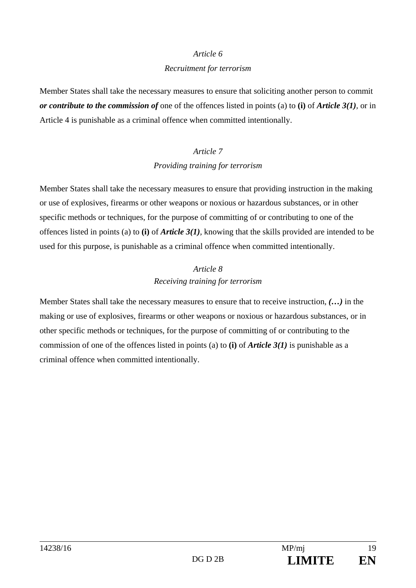#### *Article 6*

#### *Recruitment for terrorism*

Member States shall take the necessary measures to ensure that soliciting another person to commit *or contribute to the commission of* one of the offences listed in points (a) to **(i)** of *Article 3(1),* or in Article 4 is punishable as a criminal offence when committed intentionally.

# *Article 7*

#### *Providing training for terrorism*

Member States shall take the necessary measures to ensure that providing instruction in the making or use of explosives, firearms or other weapons or noxious or hazardous substances, or in other specific methods or techniques, for the purpose of committing of or contributing to one of the offences listed in points (a) to **(i)** of *Article 3(1),* knowing that the skills provided are intended to be used for this purpose, is punishable as a criminal offence when committed intentionally.

## *Article 8 Receiving training for terrorism*

Member States shall take the necessary measures to ensure that to receive instruction, *(…)* in the making or use of explosives, firearms or other weapons or noxious or hazardous substances, or in other specific methods or techniques, for the purpose of committing of or contributing to the commission of one of the offences listed in points (a) to **(i)** of *Article 3(1)* is punishable as a criminal offence when committed intentionally.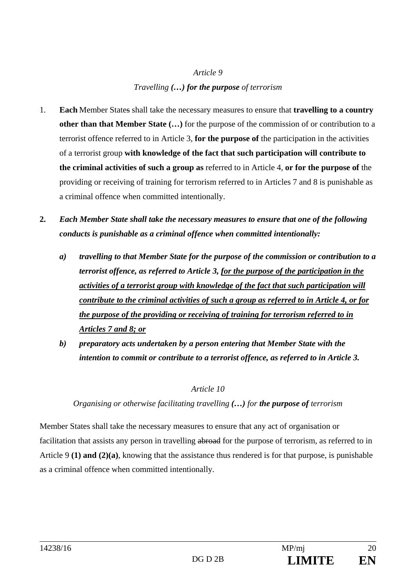## *Article 9 Travelling (…) for the purpose of terrorism*

- 1. **Each** Member States shall take the necessary measures to ensure that **travelling to a country other than that Member State (…)** for the purpose of the commission of or contribution to a terrorist offence referred to in Article 3, **for the purpose of** the participation in the activities of a terrorist group **with knowledge of the fact that such participation will contribute to the criminal activities of such a group as** referred to in Article 4, **or for the purpose of** the providing or receiving of training for terrorism referred to in Articles 7 and 8 is punishable as a criminal offence when committed intentionally.
- **2.** *Each Member State shall take the necessary measures to ensure that one of the following conducts is punishable as a criminal offence when committed intentionally:*
	- *a) travelling to that Member State for the purpose of the commission or contribution to a terrorist offence, as referred to Article 3, for the purpose of the participation in the activities of a terrorist group with knowledge of the fact that such participation will contribute to the criminal activities of such a group as referred to in Article 4, or for the purpose of the providing or receiving of training for terrorism referred to in Articles 7 and 8; or*
	- *b) preparatory acts undertaken by a person entering that Member State with the intention to commit or contribute to a terrorist offence, as referred to in Article 3.*

### *Article 10*

### *Organising or otherwise facilitating travelling (…) for the purpose of terrorism*

Member States shall take the necessary measures to ensure that any act of organisation or facilitation that assists any person in travelling abroad for the purpose of terrorism, as referred to in Article 9 **(1) and (2)(a)**, knowing that the assistance thus rendered is for that purpose, is punishable as a criminal offence when committed intentionally.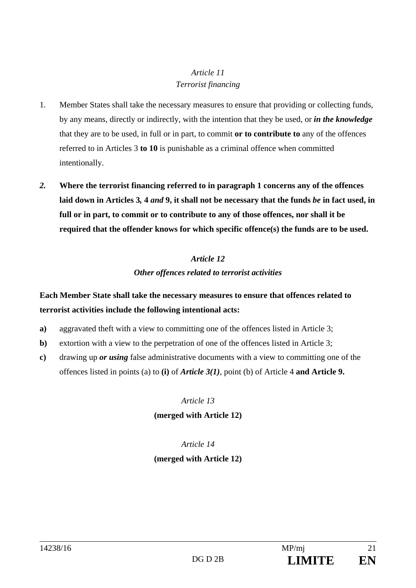## *Article 11 Terrorist financing*

- 1. Member States shall take the necessary measures to ensure that providing or collecting funds, by any means, directly or indirectly, with the intention that they be used, or *in the knowledge* that they are to be used, in full or in part, to commit **or to contribute to** any of the offences referred to in Articles 3 **to 10** is punishable as a criminal offence when committed intentionally.
- *2.* **Where the terrorist financing referred to in paragraph 1 concerns any of the offences laid down in Articles 3***,* **4** *and* **9, it shall not be necessary that the funds** *be* **in fact used, in full or in part, to commit or to contribute to any of those offences, nor shall it be required that the offender knows for which specific offence(s) the funds are to be used.**

## *Article 12 Other offences related to terrorist activities*

## **Each Member State shall take the necessary measures to ensure that offences related to terrorist activities include the following intentional acts:**

- **a)** aggravated theft with a view to committing one of the offences listed in Article 3;
- **b**) extortion with a view to the perpetration of one of the offences listed in Article 3;
- **c)** drawing up *or using* false administrative documents with a view to committing one of the offences listed in points (a) to **(i)** of *Article 3(1),* point (b) of Article 4 **and Article 9.**

*Article 13*  **(merged with Article 12)** 

## *Article 14*  **(merged with Article 12)**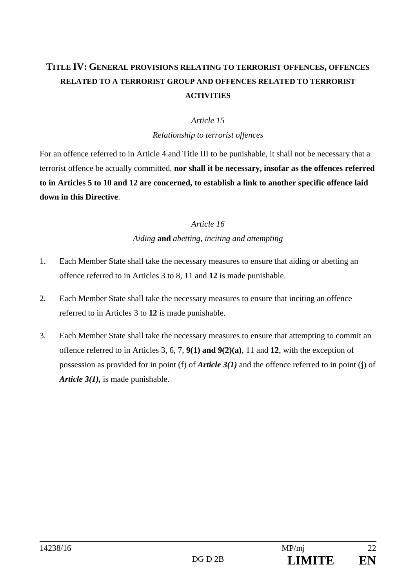## **TITLE IV: GENERAL PROVISIONS RELATING TO TERRORIST OFFENCES, OFFENCES RELATED TO A TERRORIST GROUP AND OFFENCES RELATED TO TERRORIST ACTIVITIES**

#### *Article 15*

*Relationship to terrorist offences* 

For an offence referred to in Article 4 and Title III to be punishable, it shall not be necessary that a terrorist offence be actually committed, **nor shall it be necessary, insofar as the offences referred to in Articles 5 to 10 and 12 are concerned, to establish a link to another specific offence laid down in this Directive**.

### *Article 16*

*Aiding* **and** *abetting, inciting and attempting* 

- 1. Each Member State shall take the necessary measures to ensure that aiding or abetting an offence referred to in Articles 3 to 8, 11 and **12** is made punishable.
- 2. Each Member State shall take the necessary measures to ensure that inciting an offence referred to in Articles 3 to **12** is made punishable.
- 3. Each Member State shall take the necessary measures to ensure that attempting to commit an offence referred to in Articles 3, 6, 7, **9(1) and 9(2)(a)**, 11 and **12**, with the exception of possession as provided for in point (f) of *Article 3(1)* and the offence referred to in point (**j**) of *Article 3(1),* is made punishable.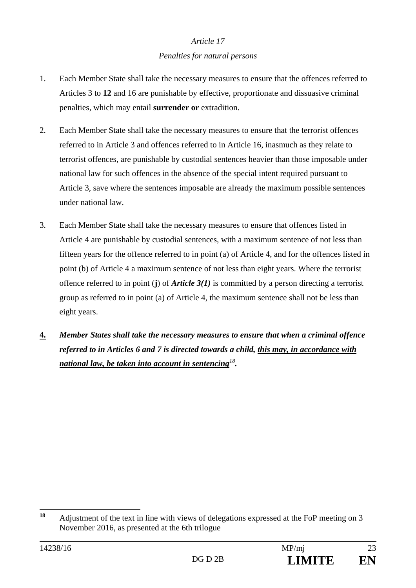#### *Article 17*

#### *Penalties for natural persons*

- 1. Each Member State shall take the necessary measures to ensure that the offences referred to Articles 3 to **12** and 16 are punishable by effective, proportionate and dissuasive criminal penalties, which may entail **surrender or** extradition.
- 2. Each Member State shall take the necessary measures to ensure that the terrorist offences referred to in Article 3 and offences referred to in Article 16, inasmuch as they relate to terrorist offences, are punishable by custodial sentences heavier than those imposable under national law for such offences in the absence of the special intent required pursuant to Article 3, save where the sentences imposable are already the maximum possible sentences under national law.
- 3. Each Member State shall take the necessary measures to ensure that offences listed in Article 4 are punishable by custodial sentences, with a maximum sentence of not less than fifteen years for the offence referred to in point (a) of Article 4, and for the offences listed in point (b) of Article 4 a maximum sentence of not less than eight years. Where the terrorist offence referred to in point (**j**) of *Article 3(1)* is committed by a person directing a terrorist group as referred to in point (a) of Article 4, the maximum sentence shall not be less than eight years.
- **4.** *Member States shall take the necessary measures to ensure that when a criminal offence referred to in Articles 6 and 7 is directed towards a child, this may, in accordance with national law, be taken into account in sentencing<sup>18</sup>.*

 $18$ **<sup>18</sup>** Adjustment of the text in line with views of delegations expressed at the FoP meeting on 3 November 2016, as presented at the 6th trilogue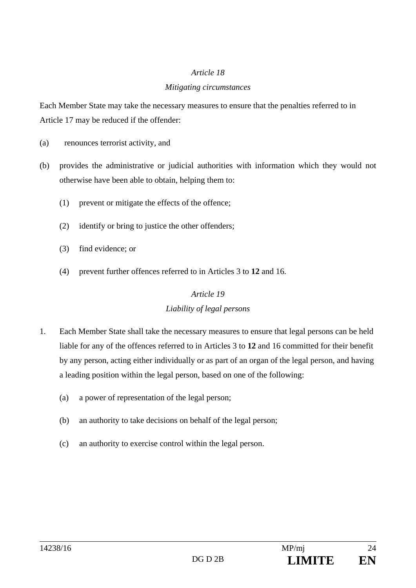#### *Article 18*

### *Mitigating circumstances*

Each Member State may take the necessary measures to ensure that the penalties referred to in Article 17 may be reduced if the offender:

- (a) renounces terrorist activity, and
- (b) provides the administrative or judicial authorities with information which they would not otherwise have been able to obtain, helping them to:
	- (1) prevent or mitigate the effects of the offence;
	- (2) identify or bring to justice the other offenders;
	- (3) find evidence; or
	- (4) prevent further offences referred to in Articles 3 to **12** and 16.

## *Article 19*

## *Liability of legal persons*

- 1. Each Member State shall take the necessary measures to ensure that legal persons can be held liable for any of the offences referred to in Articles 3 to **12** and 16 committed for their benefit by any person, acting either individually or as part of an organ of the legal person, and having a leading position within the legal person, based on one of the following:
	- (a) a power of representation of the legal person;
	- (b) an authority to take decisions on behalf of the legal person;
	- (c) an authority to exercise control within the legal person.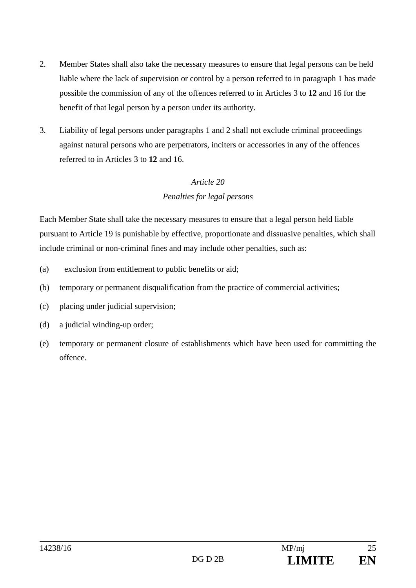- 2. Member States shall also take the necessary measures to ensure that legal persons can be held liable where the lack of supervision or control by a person referred to in paragraph 1 has made possible the commission of any of the offences referred to in Articles 3 to **12** and 16 for the benefit of that legal person by a person under its authority.
- 3. Liability of legal persons under paragraphs 1 and 2 shall not exclude criminal proceedings against natural persons who are perpetrators, inciters or accessories in any of the offences referred to in Articles 3 to **12** and 16.

## *Article 20 Penalties for legal persons*

Each Member State shall take the necessary measures to ensure that a legal person held liable pursuant to Article 19 is punishable by effective, proportionate and dissuasive penalties, which shall include criminal or non-criminal fines and may include other penalties, such as:

- (a) exclusion from entitlement to public benefits or aid;
- (b) temporary or permanent disqualification from the practice of commercial activities;
- (c) placing under judicial supervision;
- (d) a judicial winding-up order;
- (e) temporary or permanent closure of establishments which have been used for committing the offence.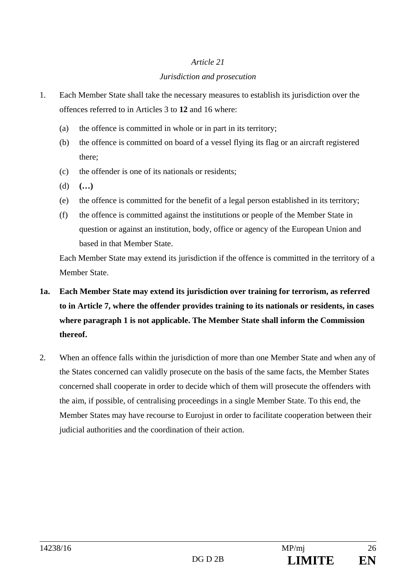## *Article 21 Jurisdiction and prosecution*

- 1. Each Member State shall take the necessary measures to establish its jurisdiction over the offences referred to in Articles 3 to **12** and 16 where:
	- (a) the offence is committed in whole or in part in its territory;
	- (b) the offence is committed on board of a vessel flying its flag or an aircraft registered there;
	- (c) the offender is one of its nationals or residents;
	- (d) **(…)**
	- (e) the offence is committed for the benefit of a legal person established in its territory;
	- (f) the offence is committed against the institutions or people of the Member State in question or against an institution, body, office or agency of the European Union and based in that Member State.

Each Member State may extend its jurisdiction if the offence is committed in the territory of a Member State.

- **1a. Each Member State may extend its jurisdiction over training for terrorism, as referred to in Article 7, where the offender provides training to its nationals or residents, in cases where paragraph 1 is not applicable. The Member State shall inform the Commission thereof.**
- 2. When an offence falls within the jurisdiction of more than one Member State and when any of the States concerned can validly prosecute on the basis of the same facts, the Member States concerned shall cooperate in order to decide which of them will prosecute the offenders with the aim, if possible, of centralising proceedings in a single Member State. To this end, the Member States may have recourse to Eurojust in order to facilitate cooperation between their judicial authorities and the coordination of their action.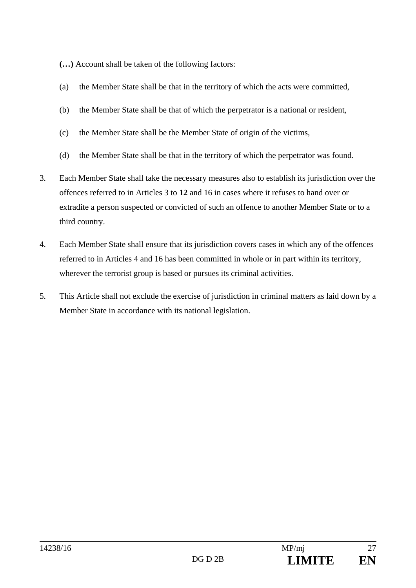**(…)** Account shall be taken of the following factors:

- (a) the Member State shall be that in the territory of which the acts were committed,
- (b) the Member State shall be that of which the perpetrator is a national or resident,
- (c) the Member State shall be the Member State of origin of the victims,
- (d) the Member State shall be that in the territory of which the perpetrator was found.
- 3. Each Member State shall take the necessary measures also to establish its jurisdiction over the offences referred to in Articles 3 to **12** and 16 in cases where it refuses to hand over or extradite a person suspected or convicted of such an offence to another Member State or to a third country.
- 4. Each Member State shall ensure that its jurisdiction covers cases in which any of the offences referred to in Articles 4 and 16 has been committed in whole or in part within its territory, wherever the terrorist group is based or pursues its criminal activities.
- 5. This Article shall not exclude the exercise of jurisdiction in criminal matters as laid down by a Member State in accordance with its national legislation.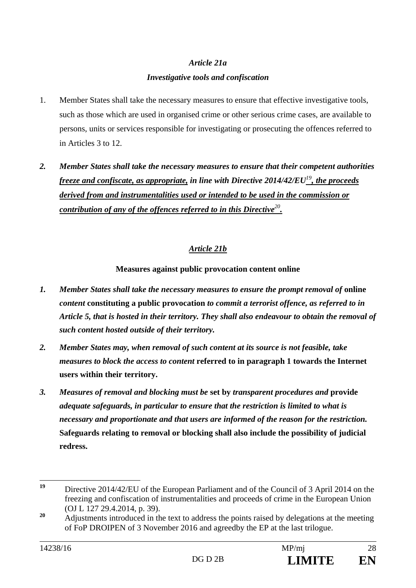## *Article 21a Investigative tools and confiscation*

- 1. Member States shall take the necessary measures to ensure that effective investigative tools, such as those which are used in organised crime or other serious crime cases, are available to persons, units or services responsible for investigating or prosecuting the offences referred to in Articles 3 to 12.
- *2. Member States shall take the necessary measures to ensure that their competent authorities freeze and confiscate, as appropriate, in line with Directive 2014/42/EU<sup>19</sup>, the proceeds derived from and instrumentalities used or intended to be used in the commission or contribution of any of the offences referred to in this Directive<sup>20</sup>.*

## *Article 21b*

### **Measures against public provocation content online**

- *1. Member States shall take the necessary measures to ensure the prompt removal of* **online** *content* **constituting a public provocation** *to commit a terrorist offence, as referred to in Article 5, that is hosted in their territory. They shall also endeavour to obtain the removal of such content hosted outside of their territory.*
- *2. Member States may, when removal of such content at its source is not feasible, take measures to block the access to content* **referred to in paragraph 1 towards the Internet users within their territory.**
- *3. Measures of removal and blocking must be* **set by** *transparent procedures and* **provide**  *adequate safeguards, in particular to ensure that the restriction is limited to what is necessary and proportionate and that users are informed of the reason for the restriction.*  **Safeguards relating to removal or blocking shall also include the possibility of judicial redress.**

 $19$ **<sup>19</sup>** Directive 2014/42/EU of the European Parliament and of the Council of 3 April 2014 on the freezing and confiscation of instrumentalities and proceeds of crime in the European Union (OJ L 127 29.4.2014, p. 39).

<sup>&</sup>lt;sup>20</sup> Adjustments introduced in the text to address the points raised by delegations at the meeting of FoP DROIPEN of 3 November 2016 and agreedby the EP at the last trilogue.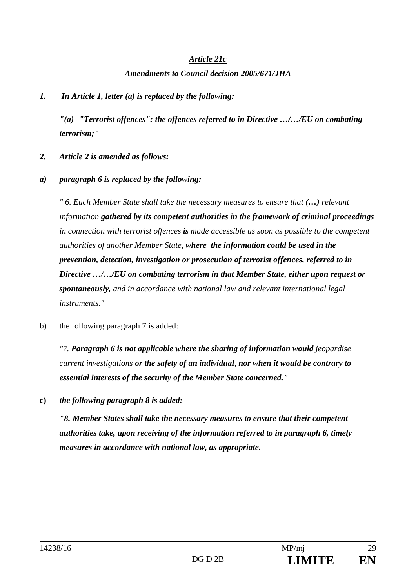#### *Article 21c*

#### *Amendments to Council decision 2005/671/JHA*

## *1. In Article 1, letter (a) is replaced by the following:*

 *"(a) "Terrorist offences": the offences referred to in Directive …/…/EU on combating terrorism;"* 

- *2. Article 2 is amended as follows:*
- *a) paragraph 6 is replaced by the following:*

 *" 6. Each Member State shall take the necessary measures to ensure that (…) relevant information gathered by its competent authorities in the framework of criminal proceedings in connection with terrorist offences is made accessible as soon as possible to the competent authorities of another Member State, where the information could be used in the prevention, detection, investigation or prosecution of terrorist offences, referred to in Directive …/…/EU on combating terrorism in that Member State, either upon request or spontaneously, and in accordance with national law and relevant international legal instruments."* 

b) the following paragraph 7 is added:

*"7. Paragraph 6 is not applicable where the sharing of information would jeopardise current investigations or the safety of an individual, nor when it would be contrary to essential interests of the security of the Member State concerned."* 

**c)** *the following paragraph 8 is added:* 

 *"8. Member States shall take the necessary measures to ensure that their competent authorities take, upon receiving of the information referred to in paragraph 6, timely measures in accordance with national law, as appropriate.*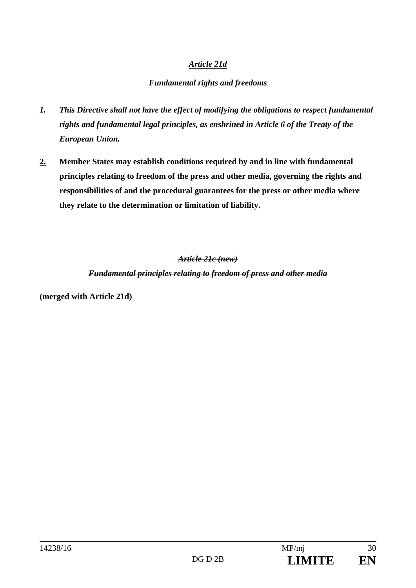## *Article 21d*

## *Fundamental rights and freedoms*

- *1. This Directive shall not have the effect of modifying the obligations to respect fundamental rights and fundamental legal principles, as enshrined in Article 6 of the Treaty of the European Union.*
- **2.****Member States may establish conditions required by and in line with fundamental principles relating to freedom of the press and other media, governing the rights and responsibilities of and the procedural guarantees for the press or other media where they relate to the determination or limitation of liability.**

## *Article 21c (new)*

*Fundamental principles relating to freedom of press and other media* 

**(merged with Article 21d)**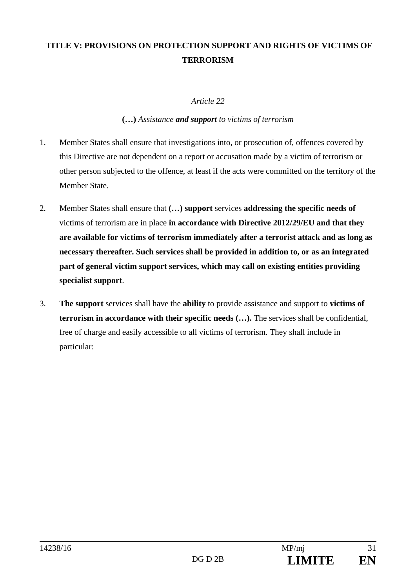## **TITLE V: PROVISIONS ON PROTECTION SUPPORT AND RIGHTS OF VICTIMS OF TERRORISM**

#### *Article 22*

#### **(…)** *Assistance and support to victims of terrorism*

- 1. Member States shall ensure that investigations into, or prosecution of, offences covered by this Directive are not dependent on a report or accusation made by a victim of terrorism or other person subjected to the offence, at least if the acts were committed on the territory of the Member State.
- 2. Member States shall ensure that **(…) support** services **addressing the specific needs of** victims of terrorism are in place **in accordance with Directive 2012/29/EU and that they are available for victims of terrorism immediately after a terrorist attack and as long as necessary thereafter. Such services shall be provided in addition to, or as an integrated part of general victim support services, which may call on existing entities providing specialist support**.
- 3. **The support** services shall have the **ability** to provide assistance and support to **victims of terrorism in accordance with their specific needs (…).** The services shall be confidential, free of charge and easily accessible to all victims of terrorism. They shall include in particular: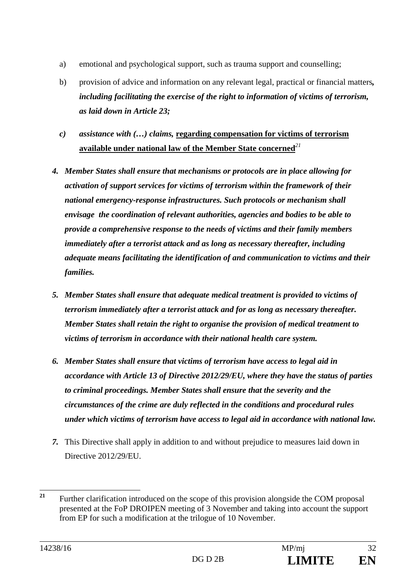- a) emotional and psychological support, such as trauma support and counselling;
- b) provision of advice and information on any relevant legal, practical or financial matters*, including facilitating the exercise of the right to information of victims of terrorism, as laid down in Article 23;*
- *c) assistance with (…) claims,* **regarding compensation for victims of terrorism available under national law of the Member State concerned***<sup>21</sup>*
- *4. Member States shall ensure that mechanisms or protocols are in place allowing for activation of support services for victims of terrorism within the framework of their national emergency-response infrastructures. Such protocols or mechanism shall envisage the coordination of relevant authorities, agencies and bodies to be able to provide a comprehensive response to the needs of victims and their family members immediately after a terrorist attack and as long as necessary thereafter, including adequate means facilitating the identification of and communication to victims and their families.*
- *5. Member States shall ensure that adequate medical treatment is provided to victims of terrorism immediately after a terrorist attack and for as long as necessary thereafter. Member States shall retain the right to organise the provision of medical treatment to victims of terrorism in accordance with their national health care system.*
- *6. Member States shall ensure that victims of terrorism have access to legal aid in accordance with Article 13 of Directive 2012/29/EU, where they have the status of parties to criminal proceedings. Member States shall ensure that the severity and the circumstances of the crime are duly reflected in the conditions and procedural rules under which victims of terrorism have access to legal aid in accordance with national law.*
- *7.* This Directive shall apply in addition to and without prejudice to measures laid down in Directive 2012/29/EU.

 $21$ **<sup>21</sup>** Further clarification introduced on the scope of this provision alongside the COM proposal presented at the FoP DROIPEN meeting of 3 November and taking into account the support from EP for such a modification at the trilogue of 10 November.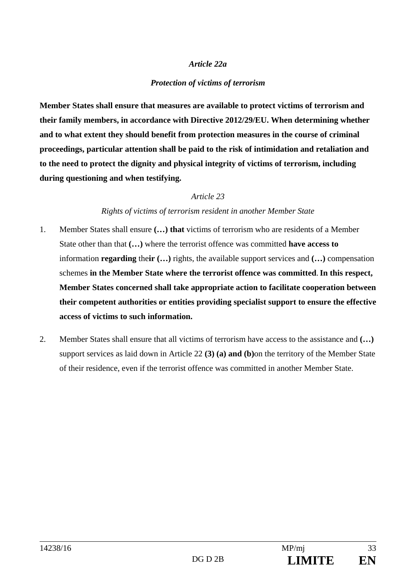#### *Article 22a*

#### *Protection of victims of terrorism*

**Member States shall ensure that measures are available to protect victims of terrorism and their family members, in accordance with Directive 2012/29/EU. When determining whether and to what extent they should benefit from protection measures in the course of criminal proceedings, particular attention shall be paid to the risk of intimidation and retaliation and to the need to protect the dignity and physical integrity of victims of terrorism, including during questioning and when testifying.** 

#### *Article 23*

#### *Rights of victims of terrorism resident in another Member State*

- 1. Member States shall ensure **(…) that** victims of terrorism who are residents of a Member State other than that **(…)** where the terrorist offence was committed **have access to** information **regarding** the**ir (…)** rights, the available support services and **(…)** compensation schemes **in the Member State where the terrorist offence was committed**.**In this respect, Member States concerned shall take appropriate action to facilitate cooperation between their competent authorities or entities providing specialist support to ensure the effective access of victims to such information.**
- 2. Member States shall ensure that all victims of terrorism have access to the assistance and **(…)**  support services as laid down in Article 22 **(3) (a) and (b)**on the territory of the Member State of their residence, even if the terrorist offence was committed in another Member State.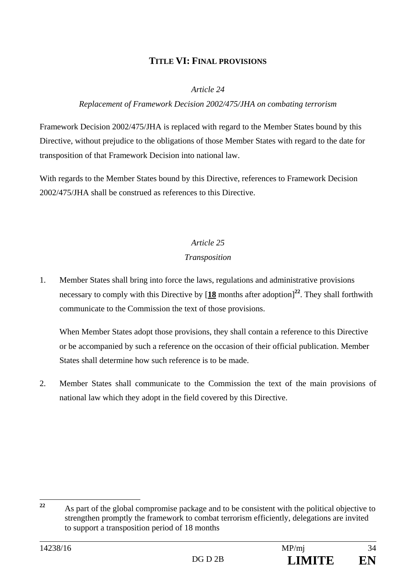## **TITLE VI: FINAL PROVISIONS**

#### *Article 24*

#### *Replacement of Framework Decision 2002/475/JHA on combating terrorism*

Framework Decision 2002/475/JHA is replaced with regard to the Member States bound by this Directive, without prejudice to the obligations of those Member States with regard to the date for transposition of that Framework Decision into national law.

With regards to the Member States bound by this Directive, references to Framework Decision 2002/475/JHA shall be construed as references to this Directive.

## *Article 25*

#### *Transposition*

1. Member States shall bring into force the laws, regulations and administrative provisions necessary to comply with this Directive by [**18** months after adoption]**<sup>22</sup>**. They shall forthwith communicate to the Commission the text of those provisions.

 When Member States adopt those provisions, they shall contain a reference to this Directive or be accompanied by such a reference on the occasion of their official publication. Member States shall determine how such reference is to be made.

2. Member States shall communicate to the Commission the text of the main provisions of national law which they adopt in the field covered by this Directive.

 $22$ **<sup>22</sup>** As part of the global compromise package and to be consistent with the political objective to strengthen promptly the framework to combat terrorism efficiently, delegations are invited to support a transposition period of 18 months